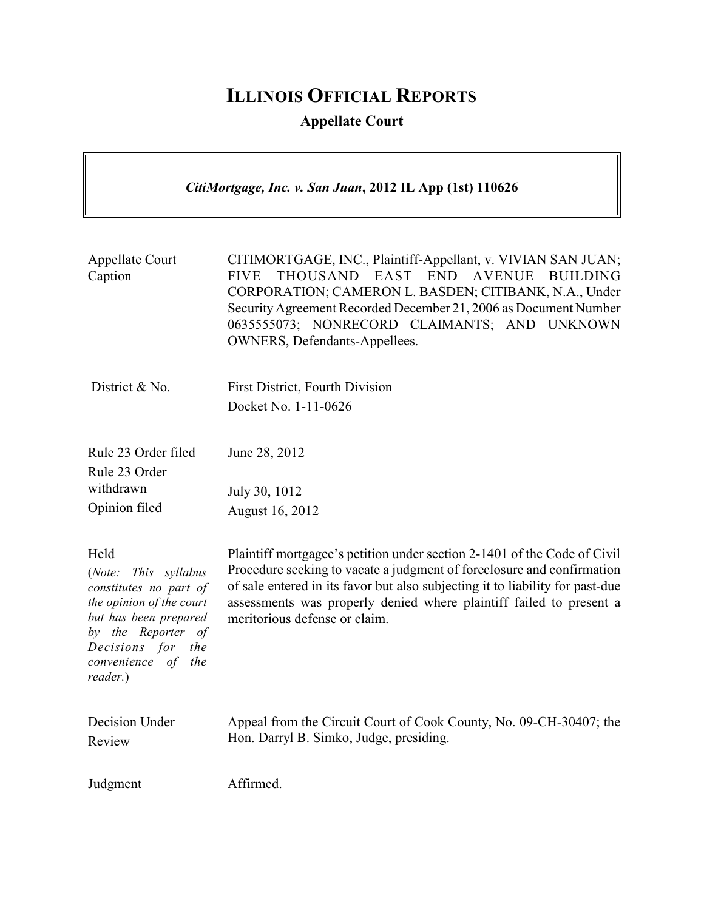# **ILLINOIS OFFICIAL REPORTS**

## **Appellate Court**

## *CitiMortgage, Inc. v. San Juan***, 2012 IL App (1st) 110626**

| <b>Appellate Court</b><br>Caption                                                                                                                                                              | CITIMORTGAGE, INC., Plaintiff-Appellant, v. VIVIAN SAN JUAN;<br>THOUSAND EAST END AVENUE<br>BUILDING<br><b>FIVE</b><br>CORPORATION; CAMERON L. BASDEN; CITIBANK, N.A., Under<br>Security Agreement Recorded December 21, 2006 as Document Number<br>0635555073; NONRECORD CLAIMANTS; AND UNKNOWN<br>OWNERS, Defendants-Appellees.           |
|------------------------------------------------------------------------------------------------------------------------------------------------------------------------------------------------|---------------------------------------------------------------------------------------------------------------------------------------------------------------------------------------------------------------------------------------------------------------------------------------------------------------------------------------------|
| District & No.                                                                                                                                                                                 | <b>First District, Fourth Division</b>                                                                                                                                                                                                                                                                                                      |
|                                                                                                                                                                                                | Docket No. 1-11-0626                                                                                                                                                                                                                                                                                                                        |
| Rule 23 Order filed                                                                                                                                                                            | June 28, 2012                                                                                                                                                                                                                                                                                                                               |
| Rule 23 Order                                                                                                                                                                                  |                                                                                                                                                                                                                                                                                                                                             |
| withdrawn                                                                                                                                                                                      | July 30, 1012                                                                                                                                                                                                                                                                                                                               |
| Opinion filed                                                                                                                                                                                  | August 16, 2012                                                                                                                                                                                                                                                                                                                             |
| Held<br>(Note: This syllabus<br>constitutes no part of<br>the opinion of the court<br>but has been prepared<br>by the Reporter of<br>Decisions for<br>the<br>convenience of<br>the<br>reader.) | Plaintiff mortgagee's petition under section 2-1401 of the Code of Civil<br>Procedure seeking to vacate a judgment of foreclosure and confirmation<br>of sale entered in its favor but also subjecting it to liability for past-due<br>assessments was properly denied where plaintiff failed to present a<br>meritorious defense or claim. |
| Decision Under<br>Review                                                                                                                                                                       | Appeal from the Circuit Court of Cook County, No. 09-CH-30407; the<br>Hon. Darryl B. Simko, Judge, presiding.                                                                                                                                                                                                                               |
| Judgment                                                                                                                                                                                       | Affirmed.                                                                                                                                                                                                                                                                                                                                   |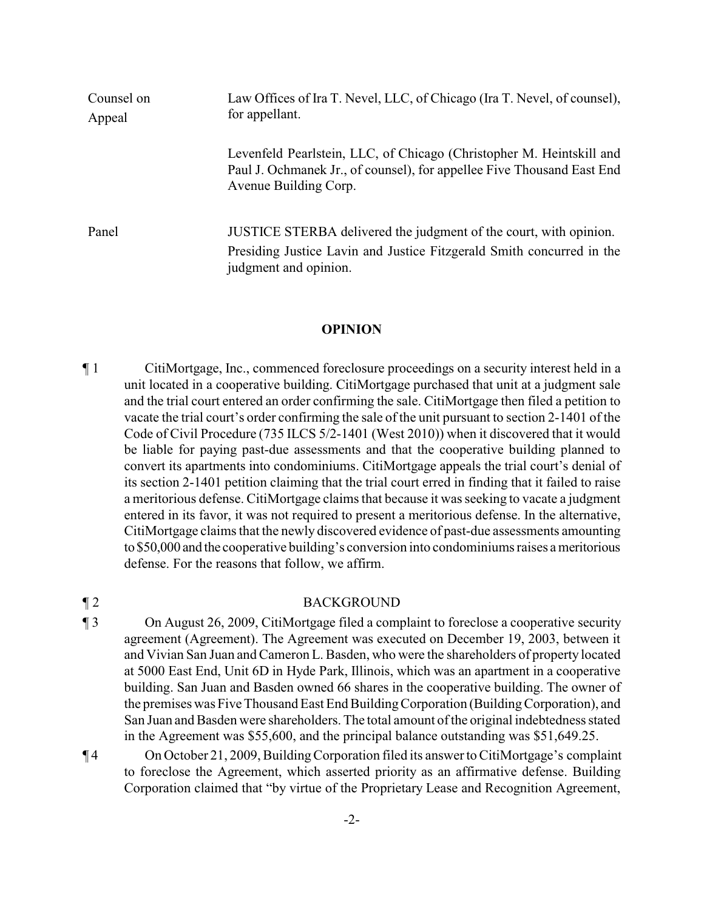| Counsel on<br>Appeal | Law Offices of Ira T. Nevel, LLC, of Chicago (Ira T. Nevel, of counsel),<br>for appellant.                                                                              |
|----------------------|-------------------------------------------------------------------------------------------------------------------------------------------------------------------------|
|                      | Levenfeld Pearlstein, LLC, of Chicago (Christopher M. Heintskill and<br>Paul J. Ochmanek Jr., of counsel), for appellee Five Thousand East End<br>Avenue Building Corp. |
| Panel                | JUSTICE STERBA delivered the judgment of the court, with opinion.<br>Presiding Justice Lavin and Justice Fitzgerald Smith concurred in the<br>judgment and opinion.     |

#### **OPINION**

¶ 1 CitiMortgage, Inc., commenced foreclosure proceedings on a security interest held in a unit located in a cooperative building. CitiMortgage purchased that unit at a judgment sale and the trial court entered an order confirming the sale. CitiMortgage then filed a petition to vacate the trial court's order confirming the sale of the unit pursuant to section 2-1401 of the Code of Civil Procedure (735 ILCS 5/2-1401 (West 2010)) when it discovered that it would be liable for paying past-due assessments and that the cooperative building planned to convert its apartments into condominiums. CitiMortgage appeals the trial court's denial of its section 2-1401 petition claiming that the trial court erred in finding that it failed to raise a meritorious defense. CitiMortgage claims that because it was seeking to vacate a judgment entered in its favor, it was not required to present a meritorious defense. In the alternative, CitiMortgage claims that the newly discovered evidence of past-due assessments amounting to \$50,000 and the cooperative building's conversion into condominiums raises a meritorious defense. For the reasons that follow, we affirm.

### ¶ 2 BACKGROUND

- ¶ 3 On August 26, 2009, CitiMortgage filed a complaint to foreclose a cooperative security agreement (Agreement). The Agreement was executed on December 19, 2003, between it and Vivian San Juan and Cameron L. Basden, who were the shareholders of property located at 5000 East End, Unit 6D in Hyde Park, Illinois, which was an apartment in a cooperative building. San Juan and Basden owned 66 shares in the cooperative building. The owner of the premises was Five Thousand East End BuildingCorporation (Building Corporation), and San Juan and Basden were shareholders. The total amount of the original indebtedness stated in the Agreement was \$55,600, and the principal balance outstanding was \$51,649.25.
- ¶ 4 On October 21, 2009, BuildingCorporation filed its answer to CitiMortgage's complaint to foreclose the Agreement, which asserted priority as an affirmative defense. Building Corporation claimed that "by virtue of the Proprietary Lease and Recognition Agreement,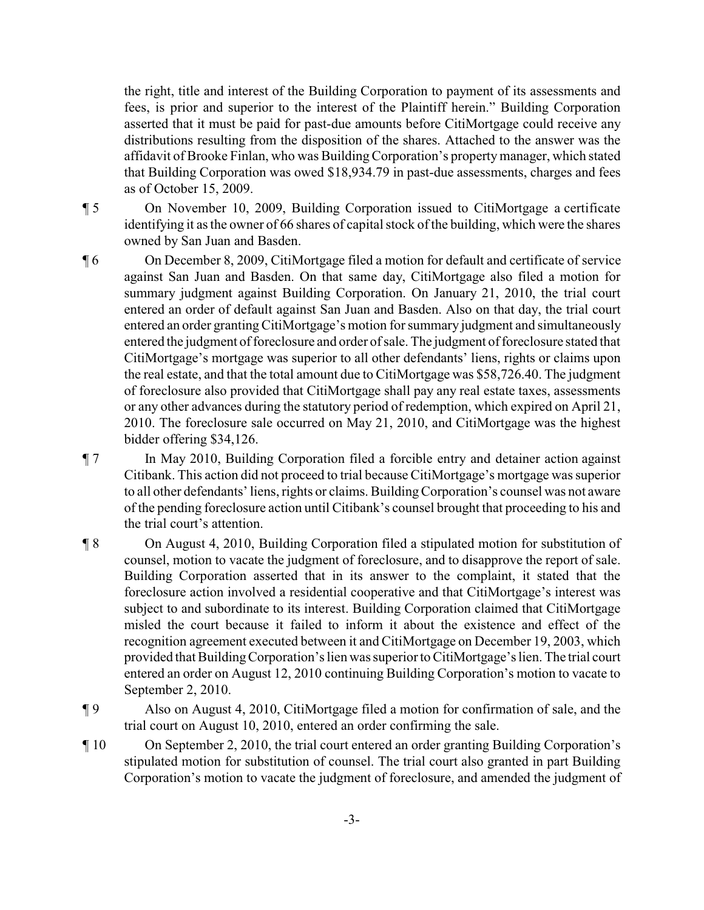the right, title and interest of the Building Corporation to payment of its assessments and fees, is prior and superior to the interest of the Plaintiff herein." Building Corporation asserted that it must be paid for past-due amounts before CitiMortgage could receive any distributions resulting from the disposition of the shares. Attached to the answer was the affidavit of Brooke Finlan, who was BuildingCorporation's propertymanager, which stated that Building Corporation was owed \$18,934.79 in past-due assessments, charges and fees as of October 15, 2009.

¶ 5 On November 10, 2009, Building Corporation issued to CitiMortgage a certificate identifying it as the owner of 66 shares of capital stock of the building, which were the shares owned by San Juan and Basden.

- ¶ 6 On December 8, 2009, CitiMortgage filed a motion for default and certificate of service against San Juan and Basden. On that same day, CitiMortgage also filed a motion for summary judgment against Building Corporation. On January 21, 2010, the trial court entered an order of default against San Juan and Basden. Also on that day, the trial court entered an order granting CitiMortgage's motion for summary judgment and simultaneously entered the judgment of foreclosure and order of sale. The judgment of foreclosure stated that CitiMortgage's mortgage was superior to all other defendants' liens, rights or claims upon the real estate, and that the total amount due to CitiMortgage was \$58,726.40. The judgment of foreclosure also provided that CitiMortgage shall pay any real estate taxes, assessments or any other advances during the statutory period of redemption, which expired on April 21, 2010. The foreclosure sale occurred on May 21, 2010, and CitiMortgage was the highest bidder offering \$34,126.
- ¶ 7 In May 2010, Building Corporation filed a forcible entry and detainer action against Citibank. This action did not proceed to trial because CitiMortgage's mortgage was superior to all other defendants' liens, rights or claims. BuildingCorporation's counsel was not aware of the pending foreclosure action until Citibank's counsel brought that proceeding to his and the trial court's attention.
- ¶ 8 On August 4, 2010, Building Corporation filed a stipulated motion for substitution of counsel, motion to vacate the judgment of foreclosure, and to disapprove the report of sale. Building Corporation asserted that in its answer to the complaint, it stated that the foreclosure action involved a residential cooperative and that CitiMortgage's interest was subject to and subordinate to its interest. Building Corporation claimed that CitiMortgage misled the court because it failed to inform it about the existence and effect of the recognition agreement executed between it and CitiMortgage on December 19, 2003, which provided that BuildingCorporation's lien was superior to CitiMortgage's lien. The trial court entered an order on August 12, 2010 continuing Building Corporation's motion to vacate to September 2, 2010.
- ¶ 9 Also on August 4, 2010, CitiMortgage filed a motion for confirmation of sale, and the trial court on August 10, 2010, entered an order confirming the sale.
- ¶ 10 On September 2, 2010, the trial court entered an order granting Building Corporation's stipulated motion for substitution of counsel. The trial court also granted in part Building Corporation's motion to vacate the judgment of foreclosure, and amended the judgment of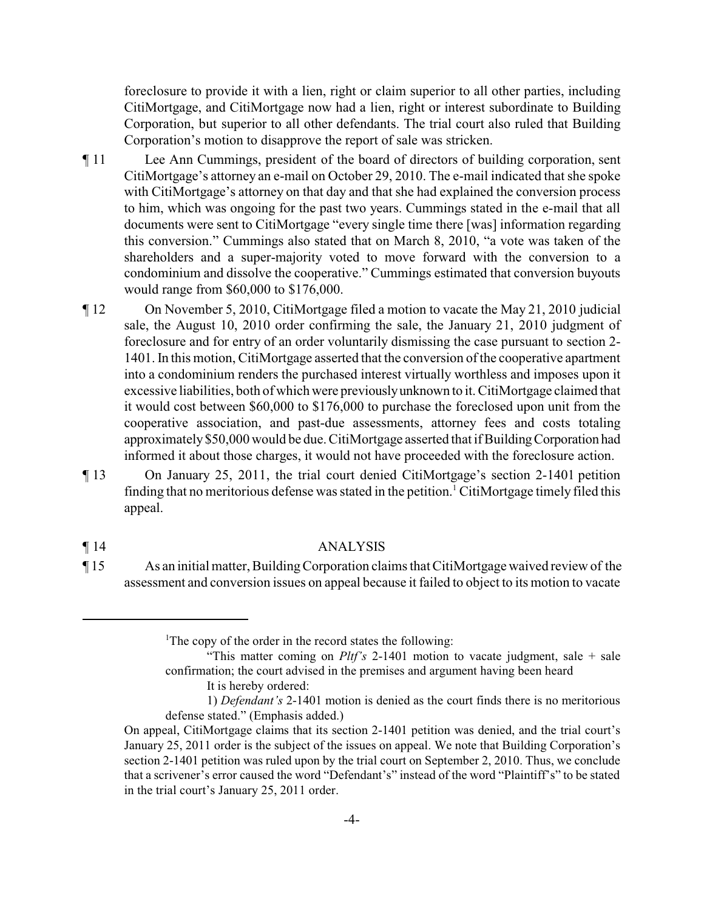foreclosure to provide it with a lien, right or claim superior to all other parties, including CitiMortgage, and CitiMortgage now had a lien, right or interest subordinate to Building Corporation, but superior to all other defendants. The trial court also ruled that Building Corporation's motion to disapprove the report of sale was stricken.

- ¶ 11 Lee Ann Cummings, president of the board of directors of building corporation, sent CitiMortgage's attorney an e-mail on October 29, 2010. The e-mail indicated that she spoke with CitiMortgage's attorney on that day and that she had explained the conversion process to him, which was ongoing for the past two years. Cummings stated in the e-mail that all documents were sent to CitiMortgage "every single time there [was] information regarding this conversion." Cummings also stated that on March 8, 2010, "a vote was taken of the shareholders and a super-majority voted to move forward with the conversion to a condominium and dissolve the cooperative." Cummings estimated that conversion buyouts would range from \$60,000 to \$176,000.
- ¶ 12 On November 5, 2010, CitiMortgage filed a motion to vacate the May 21, 2010 judicial sale, the August 10, 2010 order confirming the sale, the January 21, 2010 judgment of foreclosure and for entry of an order voluntarily dismissing the case pursuant to section 2- 1401. In this motion, CitiMortgage asserted that the conversion of the cooperative apartment into a condominium renders the purchased interest virtually worthless and imposes upon it excessive liabilities, both of which were previouslyunknown to it. CitiMortgage claimed that it would cost between \$60,000 to \$176,000 to purchase the foreclosed upon unit from the cooperative association, and past-due assessments, attorney fees and costs totaling approximately\$50,000 would be due. CitiMortgage asserted that if BuildingCorporation had informed it about those charges, it would not have proceeded with the foreclosure action.
- ¶ 13 On January 25, 2011, the trial court denied CitiMortgage's section 2-1401 petition finding that no meritorious defense was stated in the petition.<sup>1</sup> CitiMortgage timely filed this appeal.

#### ¶ 14 ANALYSIS

¶ 15 As an initial matter, BuildingCorporation claims that CitiMortgage waived review of the assessment and conversion issues on appeal because it failed to object to its motion to vacate

"This matter coming on *Pltf's* 2-1401 motion to vacate judgment, sale + sale confirmation; the court advised in the premises and argument having been heard

<sup>&</sup>lt;sup>1</sup>The copy of the order in the record states the following:

It is hereby ordered:

<sup>1)</sup> *Defendant's* 2-1401 motion is denied as the court finds there is no meritorious defense stated." (Emphasis added.)

On appeal, CitiMortgage claims that its section 2-1401 petition was denied, and the trial court's January 25, 2011 order is the subject of the issues on appeal. We note that Building Corporation's section 2-1401 petition was ruled upon by the trial court on September 2, 2010. Thus, we conclude that a scrivener's error caused the word "Defendant's" instead of the word "Plaintiff's" to be stated in the trial court's January 25, 2011 order.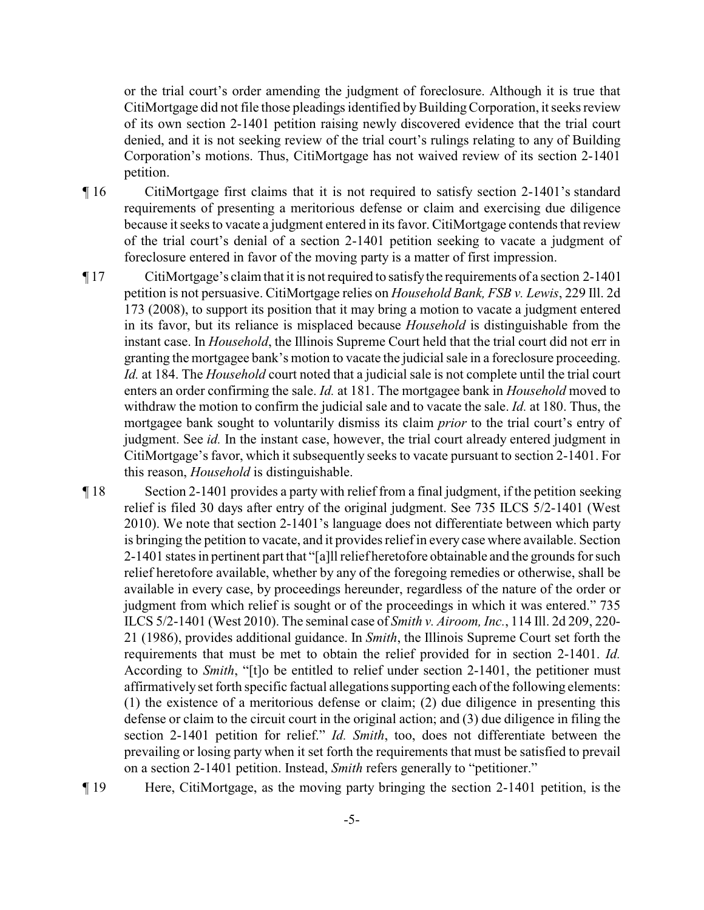or the trial court's order amending the judgment of foreclosure. Although it is true that CitiMortgage did not file those pleadings identified by Building Corporation, it seeks review of its own section 2-1401 petition raising newly discovered evidence that the trial court denied, and it is not seeking review of the trial court's rulings relating to any of Building Corporation's motions. Thus, CitiMortgage has not waived review of its section 2-1401 petition.

- ¶ 16 CitiMortgage first claims that it is not required to satisfy section 2-1401's standard requirements of presenting a meritorious defense or claim and exercising due diligence because it seeks to vacate a judgment entered in its favor. CitiMortgage contends that review of the trial court's denial of a section 2-1401 petition seeking to vacate a judgment of foreclosure entered in favor of the moving party is a matter of first impression.
- ¶ 17 CitiMortgage's claim that it is not required to satisfythe requirements of a section 2-1401 petition is not persuasive. CitiMortgage relies on *Household Bank, FSB v. Lewis*, 229 Ill. 2d 173 (2008), to support its position that it may bring a motion to vacate a judgment entered in its favor, but its reliance is misplaced because *Household* is distinguishable from the instant case. In *Household*, the Illinois Supreme Court held that the trial court did not err in granting the mortgagee bank's motion to vacate the judicial sale in a foreclosure proceeding. *Id.* at 184. The *Household* court noted that a judicial sale is not complete until the trial court enters an order confirming the sale. *Id.* at 181. The mortgagee bank in *Household* moved to withdraw the motion to confirm the judicial sale and to vacate the sale. *Id.* at 180. Thus, the mortgagee bank sought to voluntarily dismiss its claim *prior* to the trial court's entry of judgment. See *id.* In the instant case, however, the trial court already entered judgment in CitiMortgage's favor, which it subsequently seeks to vacate pursuant to section 2-1401. For this reason, *Household* is distinguishable.
- ¶ 18 Section 2-1401 provides a party with relief from a final judgment, if the petition seeking relief is filed 30 days after entry of the original judgment. See 735 ILCS 5/2-1401 (West 2010). We note that section 2-1401's language does not differentiate between which party is bringing the petition to vacate, and it provides reliefin every case where available. Section 2-1401 states in pertinent part that "[a]ll relief heretofore obtainable and the grounds for such relief heretofore available, whether by any of the foregoing remedies or otherwise, shall be available in every case, by proceedings hereunder, regardless of the nature of the order or judgment from which relief is sought or of the proceedings in which it was entered." 735 ILCS 5/2-1401 (West 2010). The seminal case of *Smith v. Airoom, Inc.*, 114 Ill. 2d 209, 220- 21 (1986), provides additional guidance. In *Smith*, the Illinois Supreme Court set forth the requirements that must be met to obtain the relief provided for in section 2-1401. *Id.* According to *Smith*, "[t]o be entitled to relief under section 2-1401, the petitioner must affirmatively set forth specific factual allegations supporting each of the following elements: (1) the existence of a meritorious defense or claim; (2) due diligence in presenting this defense or claim to the circuit court in the original action; and (3) due diligence in filing the section 2-1401 petition for relief." *Id. Smith*, too, does not differentiate between the prevailing or losing party when it set forth the requirements that must be satisfied to prevail on a section 2-1401 petition. Instead, *Smith* refers generally to "petitioner."
- ¶ 19 Here, CitiMortgage, as the moving party bringing the section 2-1401 petition, is the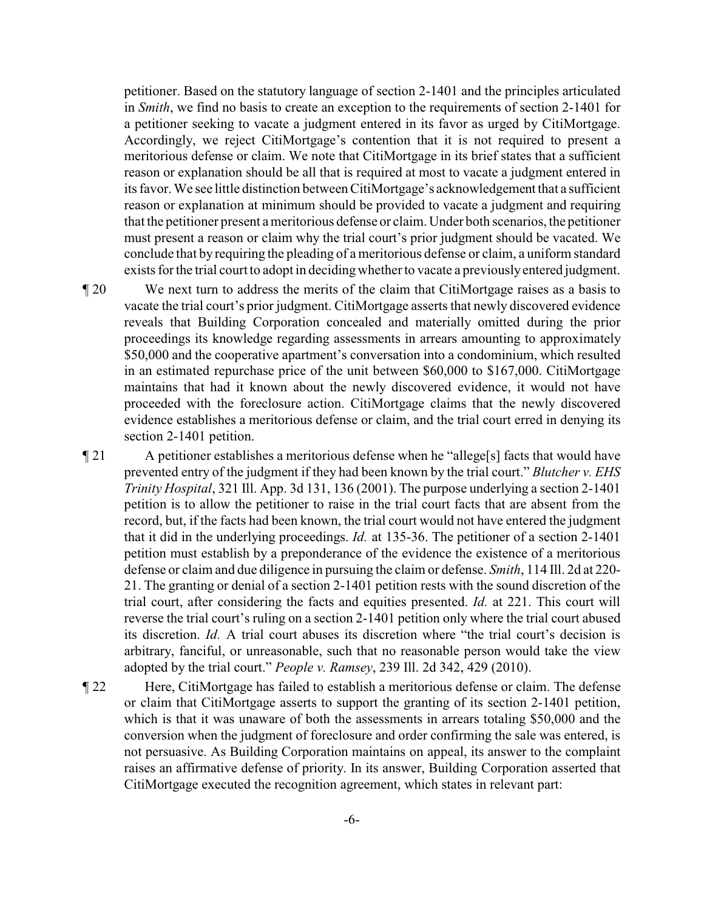petitioner. Based on the statutory language of section 2-1401 and the principles articulated in *Smith*, we find no basis to create an exception to the requirements of section 2-1401 for a petitioner seeking to vacate a judgment entered in its favor as urged by CitiMortgage. Accordingly, we reject CitiMortgage's contention that it is not required to present a meritorious defense or claim. We note that CitiMortgage in its brief states that a sufficient reason or explanation should be all that is required at most to vacate a judgment entered in its favor. We see little distinction between CitiMortgage's acknowledgement that a sufficient reason or explanation at minimum should be provided to vacate a judgment and requiring that the petitioner present a meritorious defense or claim. Under both scenarios, the petitioner must present a reason or claim why the trial court's prior judgment should be vacated. We conclude that by requiring the pleading of a meritorious defense or claim, a uniform standard exists for the trial court to adopt in deciding whether to vacate a previously entered judgment.

¶ 20 We next turn to address the merits of the claim that CitiMortgage raises as a basis to vacate the trial court's prior judgment. CitiMortgage asserts that newly discovered evidence reveals that Building Corporation concealed and materially omitted during the prior proceedings its knowledge regarding assessments in arrears amounting to approximately \$50,000 and the cooperative apartment's conversation into a condominium, which resulted in an estimated repurchase price of the unit between \$60,000 to \$167,000. CitiMortgage maintains that had it known about the newly discovered evidence, it would not have proceeded with the foreclosure action. CitiMortgage claims that the newly discovered evidence establishes a meritorious defense or claim, and the trial court erred in denying its section 2-1401 petition.

¶ 21 A petitioner establishes a meritorious defense when he "allege[s] facts that would have prevented entry of the judgment if they had been known by the trial court." *Blutcher v. EHS Trinity Hospital*, 321 Ill. App. 3d 131, 136 (2001). The purpose underlying a section 2-1401 petition is to allow the petitioner to raise in the trial court facts that are absent from the record, but, if the facts had been known, the trial court would not have entered the judgment that it did in the underlying proceedings. *Id.* at 135-36. The petitioner of a section 2-1401 petition must establish by a preponderance of the evidence the existence of a meritorious defense or claim and due diligence in pursuing the claim or defense. *Smith*, 114 Ill. 2d at 220- 21. The granting or denial of a section 2-1401 petition rests with the sound discretion of the trial court, after considering the facts and equities presented. *Id.* at 221. This court will reverse the trial court's ruling on a section 2-1401 petition only where the trial court abused its discretion. *Id.* A trial court abuses its discretion where "the trial court's decision is arbitrary, fanciful, or unreasonable, such that no reasonable person would take the view adopted by the trial court." *People v. Ramsey*, 239 Ill. 2d 342, 429 (2010).

¶ 22 Here, CitiMortgage has failed to establish a meritorious defense or claim. The defense or claim that CitiMortgage asserts to support the granting of its section 2-1401 petition, which is that it was unaware of both the assessments in arrears totaling \$50,000 and the conversion when the judgment of foreclosure and order confirming the sale was entered, is not persuasive. As Building Corporation maintains on appeal, its answer to the complaint raises an affirmative defense of priority. In its answer, Building Corporation asserted that CitiMortgage executed the recognition agreement, which states in relevant part: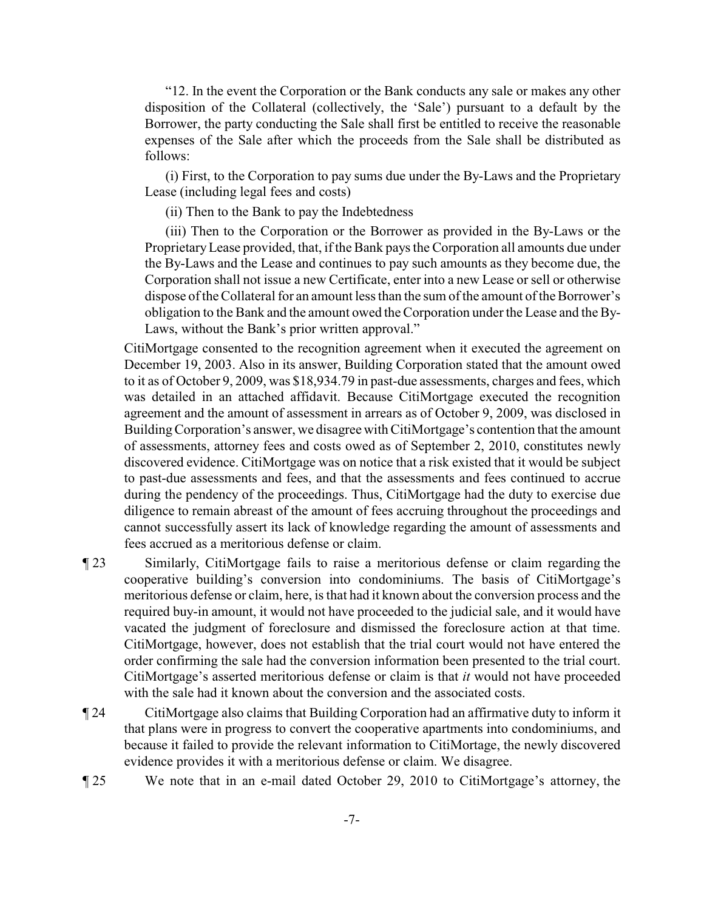"12. In the event the Corporation or the Bank conducts any sale or makes any other disposition of the Collateral (collectively, the 'Sale') pursuant to a default by the Borrower, the party conducting the Sale shall first be entitled to receive the reasonable expenses of the Sale after which the proceeds from the Sale shall be distributed as follows:

(i) First, to the Corporation to pay sums due under the By-Laws and the Proprietary Lease (including legal fees and costs)

(ii) Then to the Bank to pay the Indebtedness

(iii) Then to the Corporation or the Borrower as provided in the By-Laws or the ProprietaryLease provided, that, if the Bank pays the Corporation all amounts due under the By-Laws and the Lease and continues to pay such amounts as they become due, the Corporation shall not issue a new Certificate, enter into a new Lease or sell or otherwise dispose of the Collateral for an amount less than the sum of the amount of the Borrower's obligation to the Bank and the amount owed the Corporation under the Lease and the By-Laws, without the Bank's prior written approval."

CitiMortgage consented to the recognition agreement when it executed the agreement on December 19, 2003. Also in its answer, Building Corporation stated that the amount owed to it as of October 9, 2009, was \$18,934.79 in past-due assessments, charges and fees, which was detailed in an attached affidavit. Because CitiMortgage executed the recognition agreement and the amount of assessment in arrears as of October 9, 2009, was disclosed in BuildingCorporation's answer, we disagree with CitiMortgage's contention that the amount of assessments, attorney fees and costs owed as of September 2, 2010, constitutes newly discovered evidence. CitiMortgage was on notice that a risk existed that it would be subject to past-due assessments and fees, and that the assessments and fees continued to accrue during the pendency of the proceedings. Thus, CitiMortgage had the duty to exercise due diligence to remain abreast of the amount of fees accruing throughout the proceedings and cannot successfully assert its lack of knowledge regarding the amount of assessments and fees accrued as a meritorious defense or claim.

- ¶ 23 Similarly, CitiMortgage fails to raise a meritorious defense or claim regarding the cooperative building's conversion into condominiums. The basis of CitiMortgage's meritorious defense or claim, here, is that had it known about the conversion process and the required buy-in amount, it would not have proceeded to the judicial sale, and it would have vacated the judgment of foreclosure and dismissed the foreclosure action at that time. CitiMortgage, however, does not establish that the trial court would not have entered the order confirming the sale had the conversion information been presented to the trial court. CitiMortgage's asserted meritorious defense or claim is that *it* would not have proceeded with the sale had it known about the conversion and the associated costs.
- ¶ 24 CitiMortgage also claims that Building Corporation had an affirmative duty to inform it that plans were in progress to convert the cooperative apartments into condominiums, and because it failed to provide the relevant information to CitiMortage, the newly discovered evidence provides it with a meritorious defense or claim. We disagree.
- ¶ 25 We note that in an e-mail dated October 29, 2010 to CitiMortgage's attorney, the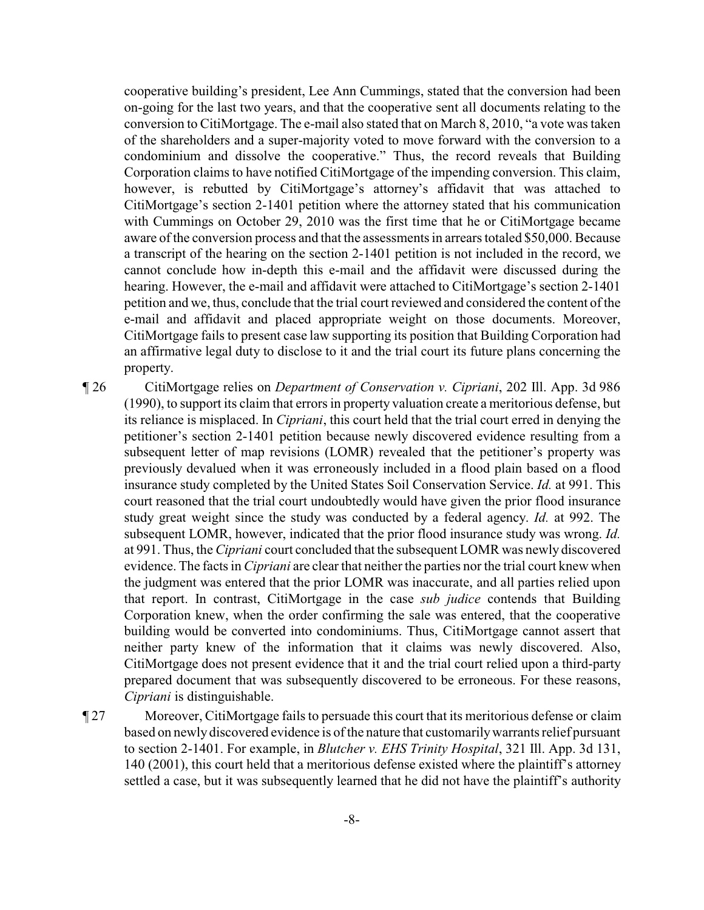cooperative building's president, Lee Ann Cummings, stated that the conversion had been on-going for the last two years, and that the cooperative sent all documents relating to the conversion to CitiMortgage. The e-mail also stated that on March 8, 2010, "a vote was taken of the shareholders and a super-majority voted to move forward with the conversion to a condominium and dissolve the cooperative." Thus, the record reveals that Building Corporation claims to have notified CitiMortgage of the impending conversion. This claim, however, is rebutted by CitiMortgage's attorney's affidavit that was attached to CitiMortgage's section 2-1401 petition where the attorney stated that his communication with Cummings on October 29, 2010 was the first time that he or CitiMortgage became aware of the conversion process and that the assessments in arrears totaled \$50,000. Because a transcript of the hearing on the section 2-1401 petition is not included in the record, we cannot conclude how in-depth this e-mail and the affidavit were discussed during the hearing. However, the e-mail and affidavit were attached to CitiMortgage's section 2-1401 petition and we, thus, conclude that the trial court reviewed and considered the content of the e-mail and affidavit and placed appropriate weight on those documents. Moreover, CitiMortgage fails to present case law supporting its position that Building Corporation had an affirmative legal duty to disclose to it and the trial court its future plans concerning the property.

¶ 26 CitiMortgage relies on *Department of Conservation v. Cipriani*, 202 Ill. App. 3d 986 (1990), to support its claim that errors in property valuation create a meritorious defense, but its reliance is misplaced. In *Cipriani*, this court held that the trial court erred in denying the petitioner's section 2-1401 petition because newly discovered evidence resulting from a subsequent letter of map revisions (LOMR) revealed that the petitioner's property was previously devalued when it was erroneously included in a flood plain based on a flood insurance study completed by the United States Soil Conservation Service. *Id.* at 991. This court reasoned that the trial court undoubtedly would have given the prior flood insurance study great weight since the study was conducted by a federal agency. *Id.* at 992. The subsequent LOMR, however, indicated that the prior flood insurance study was wrong. *Id.* at 991. Thus, the *Cipriani* court concluded that the subsequent LOMR was newly discovered evidence. The facts in *Cipriani* are clear that neither the parties nor the trial court knew when the judgment was entered that the prior LOMR was inaccurate, and all parties relied upon that report. In contrast, CitiMortgage in the case *sub judice* contends that Building Corporation knew, when the order confirming the sale was entered, that the cooperative building would be converted into condominiums. Thus, CitiMortgage cannot assert that neither party knew of the information that it claims was newly discovered. Also, CitiMortgage does not present evidence that it and the trial court relied upon a third-party prepared document that was subsequently discovered to be erroneous. For these reasons, *Cipriani* is distinguishable.

¶ 27 Moreover, CitiMortgage fails to persuade this court that its meritorious defense or claim based on newly discovered evidence is of the nature that customarilywarrants relief pursuant to section 2-1401. For example, in *Blutcher v. EHS Trinity Hospital*, 321 Ill. App. 3d 131, 140 (2001), this court held that a meritorious defense existed where the plaintiff's attorney settled a case, but it was subsequently learned that he did not have the plaintiff's authority

-8-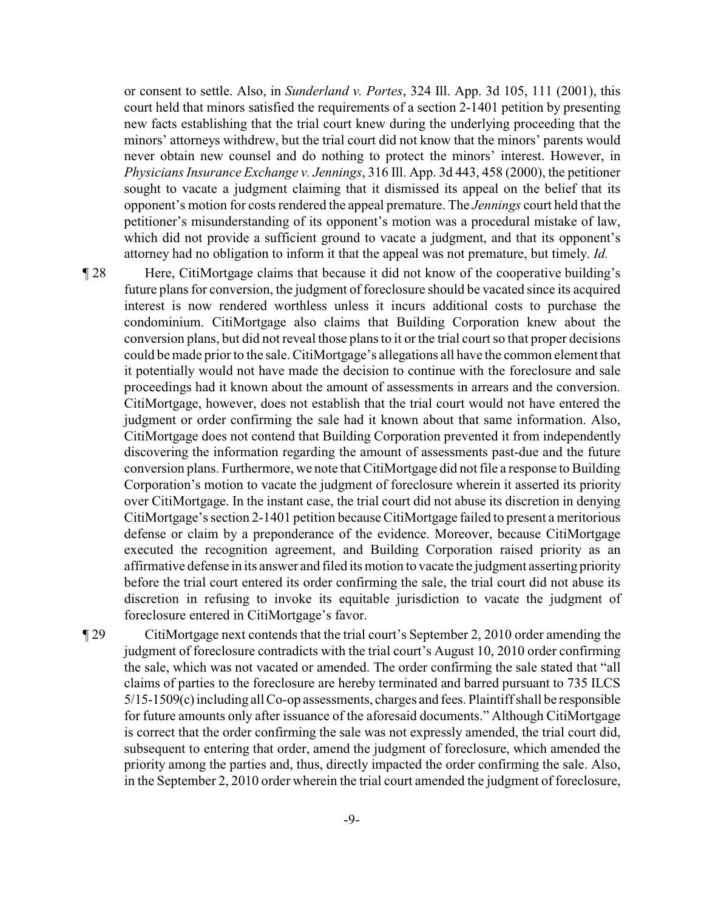or consent to settle. Also, in *Sunderland v. Portes*, 324 Ill. App. 3d 105, 111 (2001), this court held that minors satisfied the requirements of a section 2-1401 petition by presenting new facts establishing that the trial court knew during the underlying proceeding that the minors' attorneys withdrew, but the trial court did not know that the minors' parents would never obtain new counsel and do nothing to protect the minors' interest. However, in *Physicians Insurance Exchange v. Jennings*, 316 Ill. App. 3d 443, 458 (2000), the petitioner sought to vacate a judgment claiming that it dismissed its appeal on the belief that its opponent's motion for costs rendered the appeal premature. The *Jennings* court held that the petitioner's misunderstanding of its opponent's motion was a procedural mistake of law, which did not provide a sufficient ground to vacate a judgment, and that its opponent's attorney had no obligation to inform it that the appeal was not premature, but timely. *Id.*

¶ 28 Here, CitiMortgage claims that because it did not know of the cooperative building's future plans for conversion, the judgment of foreclosure should be vacated since its acquired interest is now rendered worthless unless it incurs additional costs to purchase the condominium. CitiMortgage also claims that Building Corporation knew about the conversion plans, but did not reveal those plans to it or the trial court so that proper decisions could be made prior to the sale. CitiMortgage's allegations all have the common element that it potentially would not have made the decision to continue with the foreclosure and sale proceedings had it known about the amount of assessments in arrears and the conversion. CitiMortgage, however, does not establish that the trial court would not have entered the judgment or order confirming the sale had it known about that same information. Also, CitiMortgage does not contend that Building Corporation prevented it from independently discovering the information regarding the amount of assessments past-due and the future conversion plans. Furthermore, we note that CitiMortgage did not file a response to Building Corporation's motion to vacate the judgment of foreclosure wherein it asserted its priority over CitiMortgage. In the instant case, the trial court did not abuse its discretion in denying CitiMortgage's section 2-1401 petition because CitiMortgage failed to present a meritorious defense or claim by a preponderance of the evidence. Moreover, because CitiMortgage executed the recognition agreement, and Building Corporation raised priority as an affirmative defense in its answer and filed its motion to vacate the judgment asserting priority before the trial court entered its order confirming the sale, the trial court did not abuse its discretion in refusing to invoke its equitable jurisdiction to vacate the judgment of foreclosure entered in CitiMortgage's favor.

¶ 29 CitiMortgage next contends that the trial court's September 2, 2010 order amending the judgment of foreclosure contradicts with the trial court's August 10, 2010 order confirming the sale, which was not vacated or amended. The order confirming the sale stated that "all claims of parties to the foreclosure are hereby terminated and barred pursuant to 735 ILCS 5/15-1509(c) including all Co-op assessments, charges and fees. Plaintiff shall be responsible for future amounts only after issuance of the aforesaid documents." Although CitiMortgage is correct that the order confirming the sale was not expressly amended, the trial court did, subsequent to entering that order, amend the judgment of foreclosure, which amended the priority among the parties and, thus, directly impacted the order confirming the sale. Also, in the September 2, 2010 order wherein the trial court amended the judgment of foreclosure,